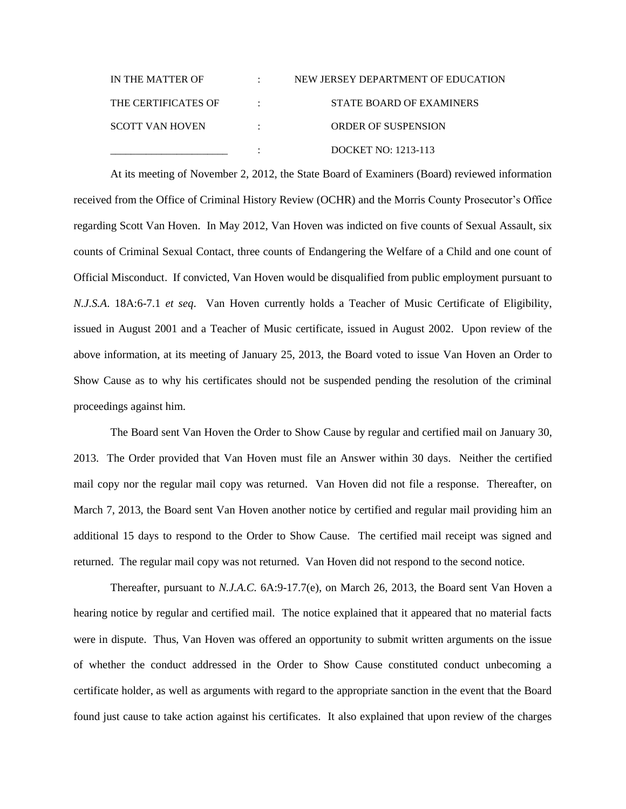| IN THE MATTER OF       |   | NEW JERSEY DEPARTMENT OF EDUCATION |
|------------------------|---|------------------------------------|
| THE CERTIFICATES OF    |   | STATE BOARD OF EXAMINERS           |
| <b>SCOTT VAN HOVEN</b> | ٠ | <b>ORDER OF SUSPENSION</b>         |
|                        |   | DOCKET NO: 1213-113                |

At its meeting of November 2, 2012, the State Board of Examiners (Board) reviewed information received from the Office of Criminal History Review (OCHR) and the Morris County Prosecutor's Office regarding Scott Van Hoven. In May 2012, Van Hoven was indicted on five counts of Sexual Assault, six counts of Criminal Sexual Contact, three counts of Endangering the Welfare of a Child and one count of Official Misconduct. If convicted, Van Hoven would be disqualified from public employment pursuant to *N.J.S.A*. 18A:6-7.1 *et seq*. Van Hoven currently holds a Teacher of Music Certificate of Eligibility, issued in August 2001 and a Teacher of Music certificate, issued in August 2002. Upon review of the above information, at its meeting of January 25, 2013, the Board voted to issue Van Hoven an Order to Show Cause as to why his certificates should not be suspended pending the resolution of the criminal proceedings against him.

The Board sent Van Hoven the Order to Show Cause by regular and certified mail on January 30, 2013. The Order provided that Van Hoven must file an Answer within 30 days. Neither the certified mail copy nor the regular mail copy was returned. Van Hoven did not file a response. Thereafter, on March 7, 2013, the Board sent Van Hoven another notice by certified and regular mail providing him an additional 15 days to respond to the Order to Show Cause. The certified mail receipt was signed and returned. The regular mail copy was not returned. Van Hoven did not respond to the second notice.

Thereafter, pursuant to *N.J.A.C.* 6A:9-17.7(e), on March 26, 2013, the Board sent Van Hoven a hearing notice by regular and certified mail. The notice explained that it appeared that no material facts were in dispute. Thus, Van Hoven was offered an opportunity to submit written arguments on the issue of whether the conduct addressed in the Order to Show Cause constituted conduct unbecoming a certificate holder, as well as arguments with regard to the appropriate sanction in the event that the Board found just cause to take action against his certificates. It also explained that upon review of the charges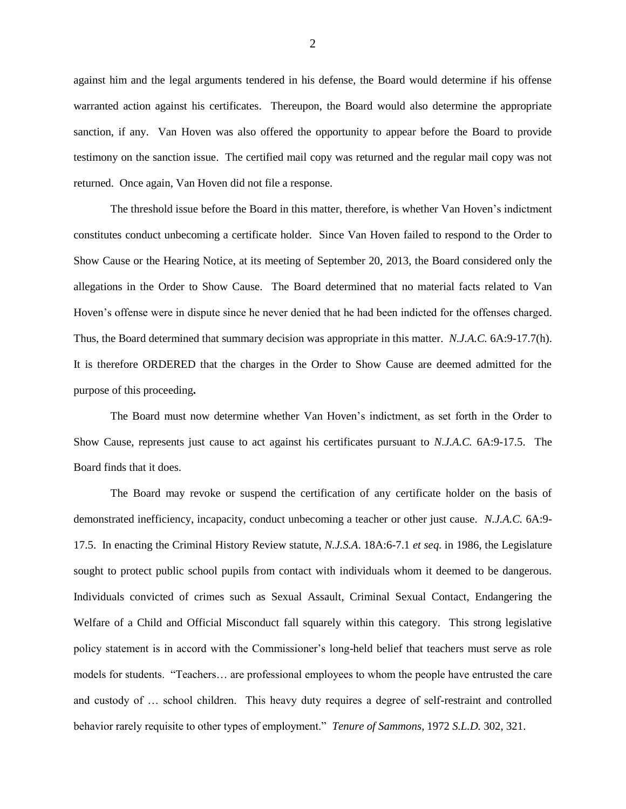against him and the legal arguments tendered in his defense, the Board would determine if his offense warranted action against his certificates. Thereupon, the Board would also determine the appropriate sanction, if any. Van Hoven was also offered the opportunity to appear before the Board to provide testimony on the sanction issue. The certified mail copy was returned and the regular mail copy was not returned. Once again, Van Hoven did not file a response.

The threshold issue before the Board in this matter, therefore, is whether Van Hoven's indictment constitutes conduct unbecoming a certificate holder. Since Van Hoven failed to respond to the Order to Show Cause or the Hearing Notice, at its meeting of September 20, 2013, the Board considered only the allegations in the Order to Show Cause. The Board determined that no material facts related to Van Hoven's offense were in dispute since he never denied that he had been indicted for the offenses charged. Thus, the Board determined that summary decision was appropriate in this matter. *N.J.A.C.* 6A:9-17.7(h). It is therefore ORDERED that the charges in the Order to Show Cause are deemed admitted for the purpose of this proceeding**.** 

The Board must now determine whether Van Hoven's indictment, as set forth in the Order to Show Cause, represents just cause to act against his certificates pursuant to *N.J.A.C.* 6A:9-17.5. The Board finds that it does.

The Board may revoke or suspend the certification of any certificate holder on the basis of demonstrated inefficiency, incapacity, conduct unbecoming a teacher or other just cause. *N.J.A.C.* 6A:9- 17.5. In enacting the Criminal History Review statute, *N.J.S.A*. 18A:6-7.1 *et seq.* in 1986*,* the Legislature sought to protect public school pupils from contact with individuals whom it deemed to be dangerous. Individuals convicted of crimes such as Sexual Assault, Criminal Sexual Contact, Endangering the Welfare of a Child and Official Misconduct fall squarely within this category. This strong legislative policy statement is in accord with the Commissioner's long-held belief that teachers must serve as role models for students. "Teachers… are professional employees to whom the people have entrusted the care and custody of … school children. This heavy duty requires a degree of self-restraint and controlled behavior rarely requisite to other types of employment." *Tenure of Sammons*, 1972 *S.L.D.* 302, 321.